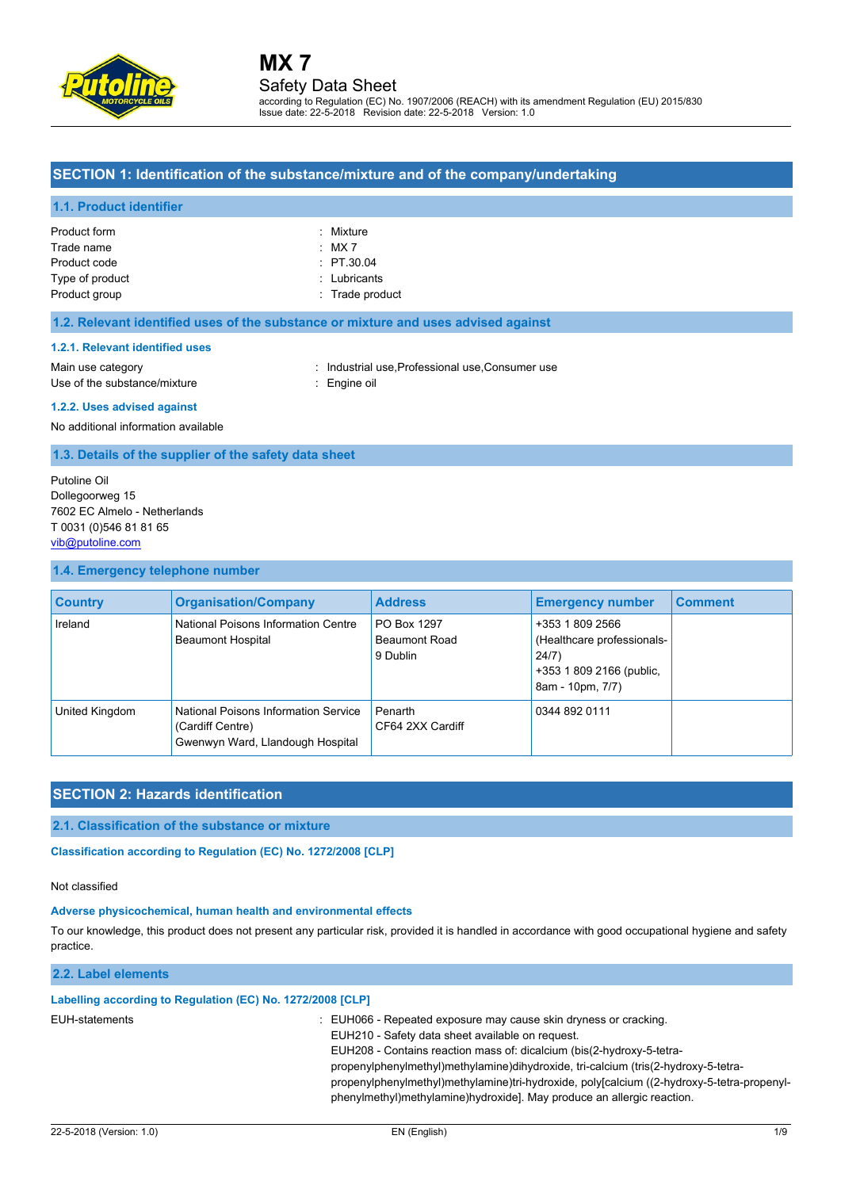

Issue date: 22-5-2018 Revision date: 22-5-2018 Version: 1.0

### **SECTION 1: Identification of the substance/mixture and of the company/undertaking**

#### **1.1. Product identifier**

| Product form    | : Mixture       |
|-----------------|-----------------|
|                 |                 |
| Trade name      | $:$ MX 7        |
| Product code    | $\div$ PT.30.04 |
| Type of product | : Lubricants    |
| Product group   | : Trade product |

#### **1.2. Relevant identified uses of the substance or mixture and uses advised against**

#### **1.2.1. Relevant identified uses**

Main use category **industrial use, Professional use, Consumer use** in Main use category Use of the substance/mixture : Engine oil

#### **1.2.2. Uses advised against**

No additional information available

**1.3. Details of the supplier of the safety data sheet**

Putoline Oil Dollegoorweg 15 7602 EC Almelo - Netherlands T 0031 (0)546 81 81 65 [vib@putoline.com](mailto:vib@putoline.com)

#### **1.4. Emergency telephone number**

| <b>Country</b> | <b>Organisation/Company</b>                                                                  | <b>Address</b>                                  | <b>Emergency number</b>                                                                                | <b>Comment</b> |
|----------------|----------------------------------------------------------------------------------------------|-------------------------------------------------|--------------------------------------------------------------------------------------------------------|----------------|
| Ireland        | National Poisons Information Centre<br><b>Beaumont Hospital</b>                              | PO Box 1297<br><b>Beaumont Road</b><br>9 Dublin | +353 1 809 2566<br>(Healthcare professionals-<br>24/7)<br>+353 1 809 2166 (public,<br>8am - 10pm, 7/7) |                |
| United Kingdom | National Poisons Information Service<br>(Cardiff Centre)<br>Gwenwyn Ward, Llandough Hospital | Penarth<br>CF64 2XX Cardiff                     | 0344 892 0111                                                                                          |                |

### **SECTION 2: Hazards identification**

#### **2.1. Classification of the substance or mixture**

Classification according to Regulation (EC) No. 1272/2008 [CLP]

#### Not classified

#### **Adverse physicochemical, human health and environmental effects**

To our knowledge, this product does not present any particular risk, provided it is handled in accordance with good occupational hygiene and safety practice.

#### **2.2. Label elements**

#### **Labelling according to Regulation (EC) No. 1272/2008 [CLP]**

- EUH-statements : EUH066 Repeated exposure may cause skin dryness or cracking.
	- EUH210 Safety data sheet available on request.

EUH208 - Contains reaction mass of: dicalcium (bis(2-hydroxy-5-tetra-

propenylphenylmethyl)methylamine)dihydroxide, tri-calcium (tris(2-hydroxy-5-tetra-

propenylphenylmethyl)methylamine)tri-hydroxide, poly[calcium ((2-hydroxy-5-tetra-propenylphenylmethyl)methylamine)hydroxide]. May produce an allergic reaction.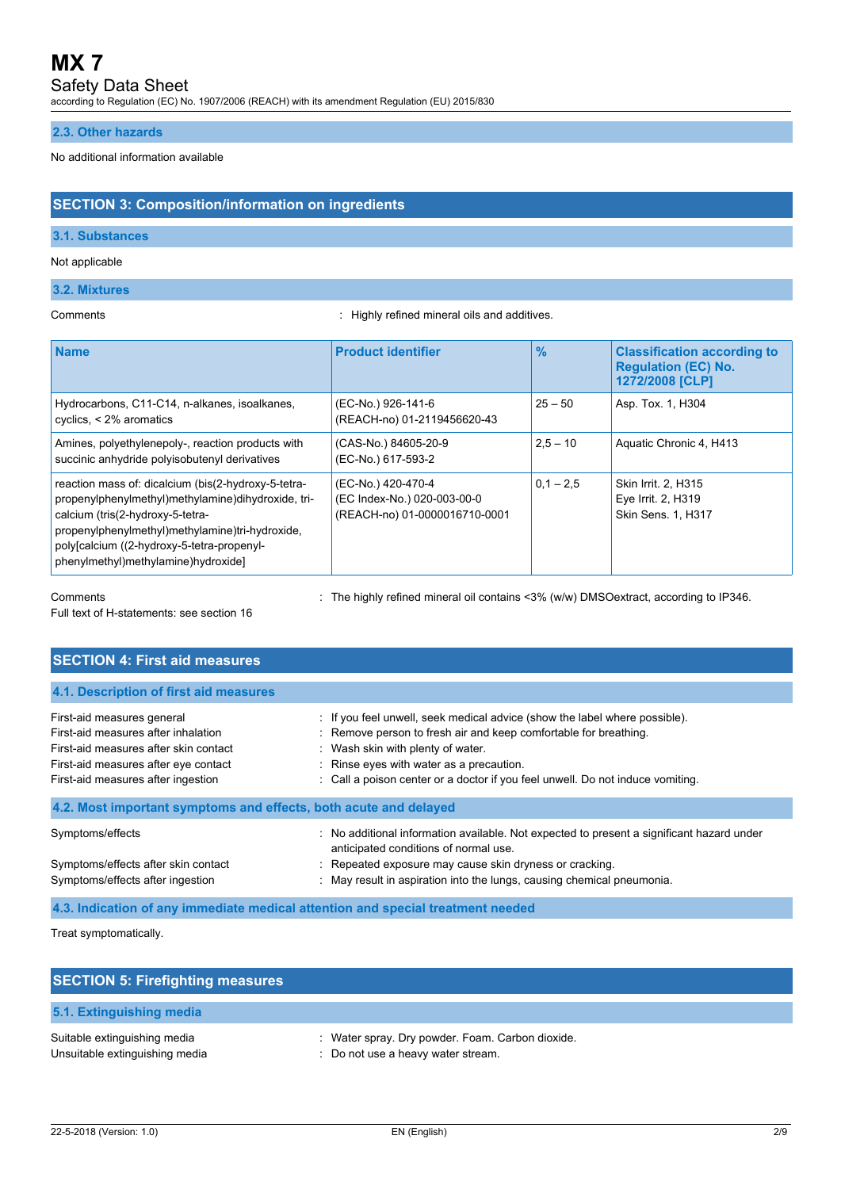### Safety Data Sheet

according to Regulation (EC) No. 1907/2006 (REACH) with its amendment Regulation (EU) 2015/830

#### **2.3. Other hazards**

#### No additional information available

#### **SECTION 3: Composition/information on ingredients**

#### **3.1. Substances**

#### Not applicable

#### **3.2. Mixtures**

Comments : Highly refined mineral oils and additives.

| <b>Name</b>                                                                                                                                                                                                                                                                           | <b>Product identifier</b>                                                          | $\frac{9}{6}$ | <b>Classification according to</b><br><b>Regulation (EC) No.</b><br>1272/2008 [CLP] |
|---------------------------------------------------------------------------------------------------------------------------------------------------------------------------------------------------------------------------------------------------------------------------------------|------------------------------------------------------------------------------------|---------------|-------------------------------------------------------------------------------------|
| Hydrocarbons, C11-C14, n-alkanes, isoalkanes,<br>cyclics, < 2% aromatics                                                                                                                                                                                                              | (EC-No.) 926-141-6<br>(REACH-no) 01-2119456620-43                                  | $25 - 50$     | Asp. Tox. 1, H304                                                                   |
| Amines, polyethylenepoly-, reaction products with<br>succinic anhydride polyisobutenyl derivatives                                                                                                                                                                                    | (CAS-No.) 84605-20-9<br>(EC-No.) 617-593-2                                         | $2.5 - 10$    | Aquatic Chronic 4, H413                                                             |
| reaction mass of: dicalcium (bis(2-hydroxy-5-tetra-<br>propenylphenylmethyl)methylamine)dihydroxide, tri-<br>calcium (tris(2-hydroxy-5-tetra-<br>propenylphenylmethyl)methylamine)tri-hydroxide,<br>poly[calcium ((2-hydroxy-5-tetra-propenyl-<br>phenylmethyl)methylamine)hydroxide] | (EC-No.) 420-470-4<br>(EC Index-No.) 020-003-00-0<br>(REACH-no) 01-0000016710-0001 | $0.1 - 2.5$   | Skin Irrit. 2, H315<br>Eye Irrit. 2, H319<br>Skin Sens. 1, H317                     |

Comments : The highly refined mineral oil contains <3% (w/w) DMSOextract, according to IP346.

Full text of H-statements: see section 16

| <b>SECTION 4: First aid measures</b>                                                                                                                                                     |                                                                                                                                                                                                                                                                                                                   |
|------------------------------------------------------------------------------------------------------------------------------------------------------------------------------------------|-------------------------------------------------------------------------------------------------------------------------------------------------------------------------------------------------------------------------------------------------------------------------------------------------------------------|
| 4.1. Description of first aid measures                                                                                                                                                   |                                                                                                                                                                                                                                                                                                                   |
| First-aid measures general<br>First-aid measures after inhalation<br>First-aid measures after skin contact<br>First-aid measures after eye contact<br>First-aid measures after ingestion | : If you feel unwell, seek medical advice (show the label where possible).<br>: Remove person to fresh air and keep comfortable for breathing.<br>: Wash skin with plenty of water.<br>: Rinse eyes with water as a precaution.<br>: Call a poison center or a doctor if you feel unwell. Do not induce vomiting. |
| 4.2. Most important symptoms and effects, both acute and delayed                                                                                                                         |                                                                                                                                                                                                                                                                                                                   |
| Symptoms/effects<br>Symptoms/effects after skin contact<br>Symptoms/effects after ingestion                                                                                              | : No additional information available. Not expected to present a significant hazard under<br>anticipated conditions of normal use.<br>: Repeated exposure may cause skin dryness or cracking.<br>: May result in aspiration into the lungs, causing chemical pneumonia.                                           |

#### **4.3. Indication of any immediate medical attention and special treatment needed**

Treat symptomatically.

| <b>SECTION 5: Firefighting measures</b>                        |                                                                                        |
|----------------------------------------------------------------|----------------------------------------------------------------------------------------|
| 5.1. Extinguishing media                                       |                                                                                        |
| Suitable extinguishing media<br>Unsuitable extinguishing media | : Water spray. Dry powder. Foam. Carbon dioxide.<br>: Do not use a heavy water stream. |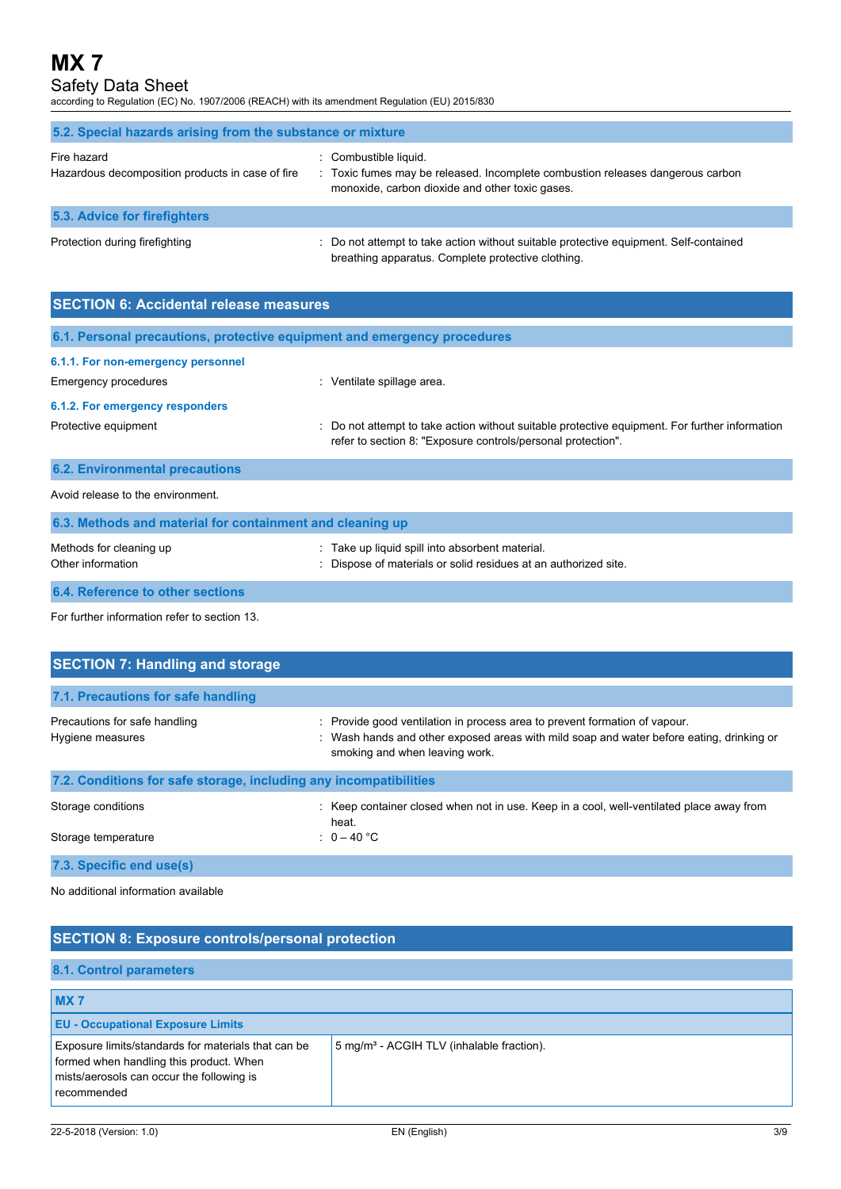Safety Data Sheet

according to Regulation (EC) No. 1907/2006 (REACH) with its amendment Regulation (EU) 2015/830

| 5.2. Special hazards arising from the substance or mixture      |                                                                                                                                                            |  |  |
|-----------------------------------------------------------------|------------------------------------------------------------------------------------------------------------------------------------------------------------|--|--|
| Fire hazard<br>Hazardous decomposition products in case of fire | : Combustible liquid.<br>: Toxic fumes may be released. Incomplete combustion releases dangerous carbon<br>monoxide, carbon dioxide and other toxic gases. |  |  |
| 5.3. Advice for firefighters                                    |                                                                                                                                                            |  |  |
| Protection during firefighting                                  | : Do not attempt to take action without suitable protective equipment. Self-contained<br>breathing apparatus. Complete protective clothing.                |  |  |

| <b>SECTION 6: Accidental release measures</b>                            |                                                                                                                                                              |  |  |
|--------------------------------------------------------------------------|--------------------------------------------------------------------------------------------------------------------------------------------------------------|--|--|
| 6.1. Personal precautions, protective equipment and emergency procedures |                                                                                                                                                              |  |  |
| 6.1.1. For non-emergency personnel                                       |                                                                                                                                                              |  |  |
| Emergency procedures                                                     | : Ventilate spillage area.                                                                                                                                   |  |  |
| 6.1.2. For emergency responders                                          |                                                                                                                                                              |  |  |
| Protective equipment                                                     | Do not attempt to take action without suitable protective equipment. For further information<br>refer to section 8: "Exposure controls/personal protection". |  |  |
| <b>6.2. Environmental precautions</b>                                    |                                                                                                                                                              |  |  |
| Avoid release to the environment.                                        |                                                                                                                                                              |  |  |
| 6.3. Methods and material for containment and cleaning up                |                                                                                                                                                              |  |  |
| Methods for cleaning up<br>Other information                             | Take up liquid spill into absorbent material.<br>Dispose of materials or solid residues at an authorized site.                                               |  |  |
| 6.4. Reference to other sections                                         |                                                                                                                                                              |  |  |

For further information refer to section 13.

| <b>SECTION 7: Handling and storage</b>                            |                                                                                                                                                                                                          |
|-------------------------------------------------------------------|----------------------------------------------------------------------------------------------------------------------------------------------------------------------------------------------------------|
| 7.1. Precautions for safe handling                                |                                                                                                                                                                                                          |
| Precautions for safe handling<br>Hygiene measures                 | : Provide good ventilation in process area to prevent formation of vapour.<br>: Wash hands and other exposed areas with mild soap and water before eating, drinking or<br>smoking and when leaving work. |
| 7.2. Conditions for safe storage, including any incompatibilities |                                                                                                                                                                                                          |
| Storage conditions                                                | : Keep container closed when not in use. Keep in a cool, well-ventilated place away from<br>heat.                                                                                                        |
| Storage temperature                                               | : $0-40$ °C                                                                                                                                                                                              |
| 7.3. Specific end use(s)                                          |                                                                                                                                                                                                          |

No additional information available

| <b>SECTION 8: Exposure controls/personal protection</b>                                                                                                    |                                                       |  |
|------------------------------------------------------------------------------------------------------------------------------------------------------------|-------------------------------------------------------|--|
| 8.1. Control parameters                                                                                                                                    |                                                       |  |
| <b>MX7</b>                                                                                                                                                 |                                                       |  |
| <b>EU - Occupational Exposure Limits</b>                                                                                                                   |                                                       |  |
| Exposure limits/standards for materials that can be<br>formed when handling this product. When<br>mists/aerosols can occur the following is<br>recommended | 5 mg/m <sup>3</sup> - ACGIH TLV (inhalable fraction). |  |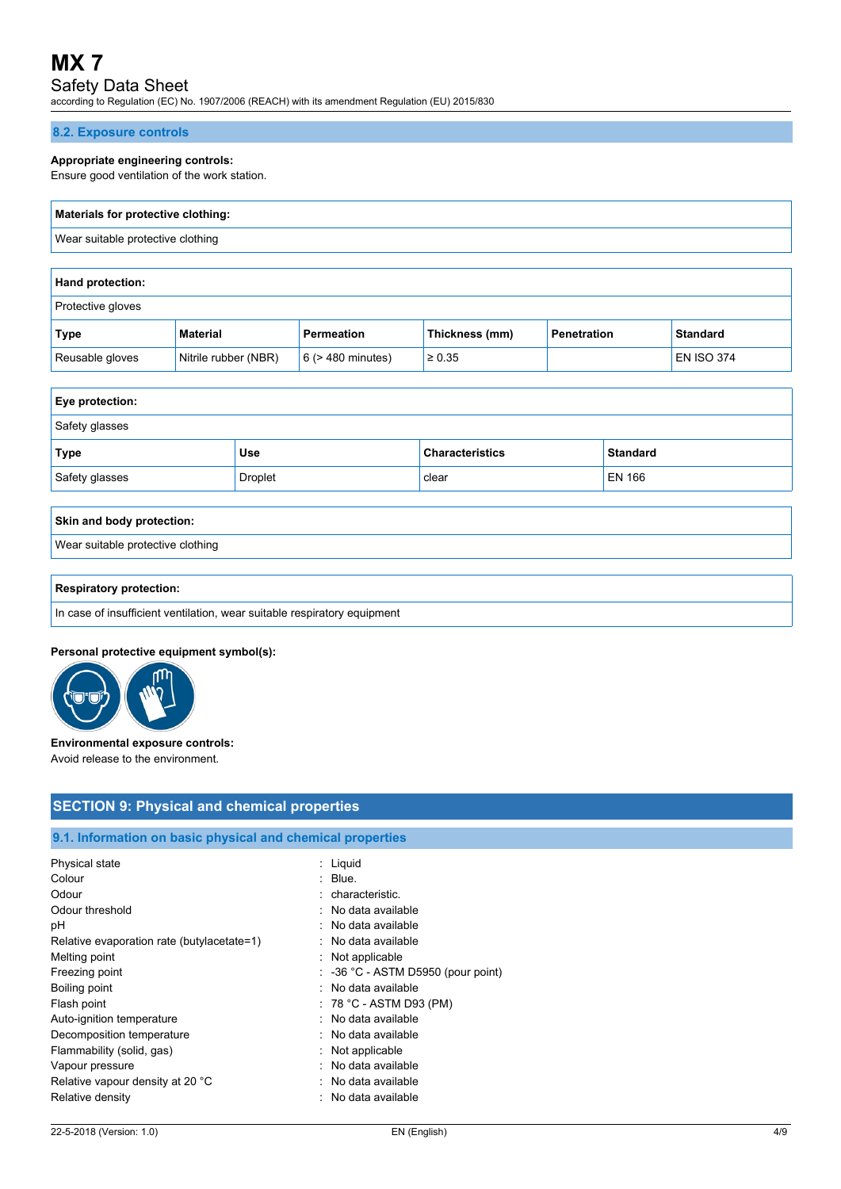## Safety Data Sheet

according to Regulation (EC) No. 1907/2006 (REACH) with its amendment Regulation (EU) 2015/830

#### **8.2. Exposure controls**

#### **Appropriate engineering controls:**

Ensure good ventilation of the work station.

## **Materials for protective clothing:** Wear suitable protective clothing

| <b>Hand protection:</b>  |                      |                        |                |                    |                   |
|--------------------------|----------------------|------------------------|----------------|--------------------|-------------------|
| <b>Protective gloves</b> |                      |                        |                |                    |                   |
| Type                     | <b>Material</b>      | Permeation             | Thickness (mm) | <b>Penetration</b> | <b>Standard</b>   |
| Reusable gloves          | Nitrile rubber (NBR) | $6$ ( $>$ 480 minutes) | $\ge 0.35$     |                    | <b>EN ISO 374</b> |

| <b>Eye protection:</b> |                |                        |                 |
|------------------------|----------------|------------------------|-----------------|
| Safety glasses         |                |                        |                 |
| Type                   | Use            | <b>Characteristics</b> | <b>Standard</b> |
| Safety glasses         | <b>Droplet</b> | clear                  | EN 166          |

## **Skin and body protection:** Wear suitable protective clothing

#### **Respiratory protection:**

In case of insufficient ventilation, wear suitable respiratory equipment

#### **Personal protective equipment symbol(s):**



#### **Environmental exposure controls:** Avoid release to the environment.

#### **SECTION 9: Physical and chemical properties**

## **9.1. Information on basic physical and chemical properties**

| Physical state                             | : Liguid                                      |
|--------------------------------------------|-----------------------------------------------|
| Colour                                     | $:$ Blue.                                     |
| Odour                                      | : characteristic.                             |
| Odour threshold                            | : No data available                           |
| рH                                         | : No data available                           |
| Relative evaporation rate (butylacetate=1) | : No data available                           |
| Melting point                              | $:$ Not applicable                            |
| Freezing point                             | $\therefore$ -36 °C - ASTM D5950 (pour point) |
| Boiling point                              | : No data available                           |
| Flash point                                | $: 78 °C$ - ASTM D93 (PM)                     |
| Auto-ignition temperature                  | : No data available                           |
| Decomposition temperature                  | : No data available                           |
| Flammability (solid, gas)                  | $:$ Not applicable                            |
| Vapour pressure                            | : No data available                           |
| Relative vapour density at 20 °C           | : No data available                           |
| Relative density                           | : No data available                           |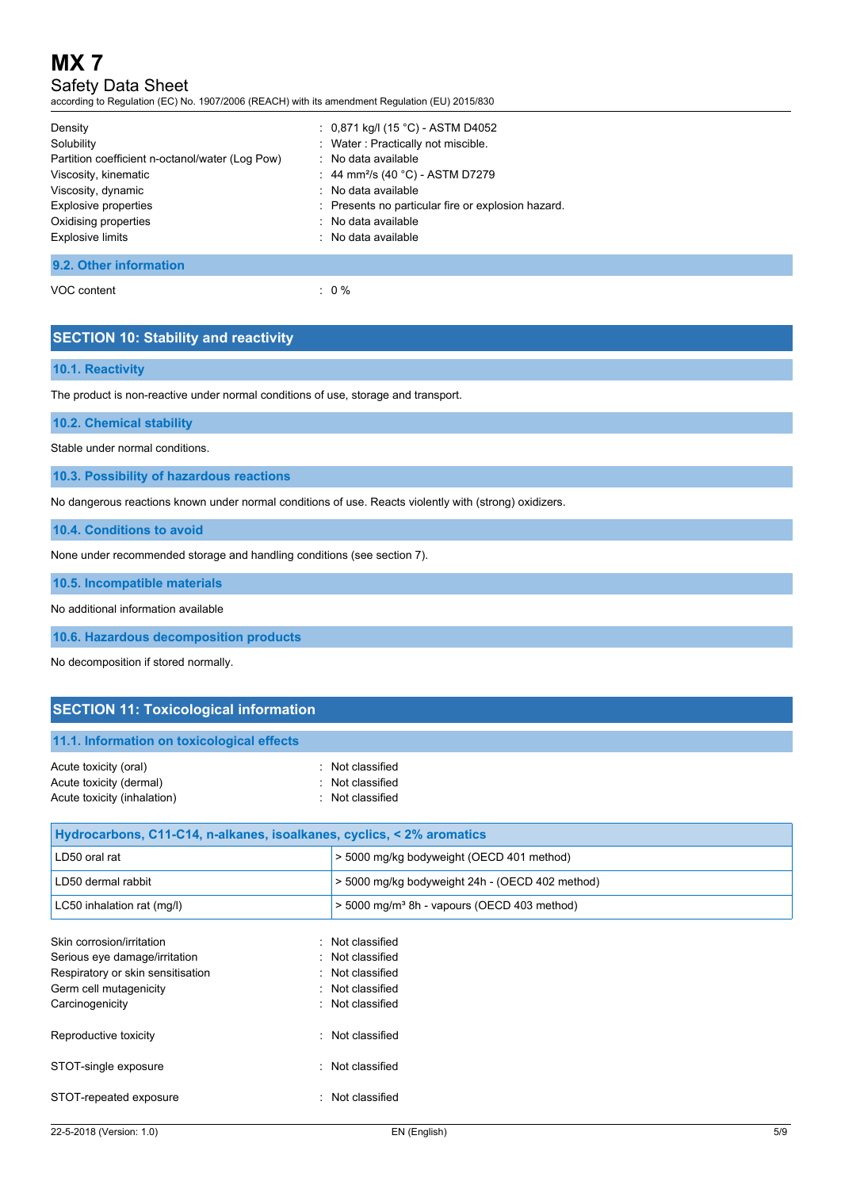## Safety Data Sheet

according to Regulation (EC) No. 1907/2006 (REACH) with its amendment Regulation (EU) 2015/830

| Density<br>Solubility<br>Partition coefficient n-octanol/water (Log Pow)<br>Viscosity, kinematic<br>Viscosity, dynamic<br>Explosive properties<br>Oxidising properties | : $0,871$ kg/l (15 °C) - ASTM D4052<br>: Water: Practically not miscible.<br>: No data available<br>: 44 mm <sup>2</sup> /s (40 °C) - ASTM D7279<br>: No data available<br>: Presents no particular fire or explosion hazard.<br>: No data available |
|------------------------------------------------------------------------------------------------------------------------------------------------------------------------|------------------------------------------------------------------------------------------------------------------------------------------------------------------------------------------------------------------------------------------------------|
| <b>Explosive limits</b>                                                                                                                                                | : No data available                                                                                                                                                                                                                                  |
| 9.2. Other information                                                                                                                                                 |                                                                                                                                                                                                                                                      |

### VOC content  $\qquad \qquad : \qquad 0 \%$

### **SECTION 10: Stability and reactivity**

#### **10.1. Reactivity**

The product is non-reactive under normal conditions of use, storage and transport.

**10.2. Chemical stability**

Stable under normal conditions.

**10.3. Possibility of hazardous reactions**

No dangerous reactions known under normal conditions of use. Reacts violently with (strong) oxidizers.

**10.4. Conditions to avoid**

None under recommended storage and handling conditions (see section 7).

**10.5. Incompatible materials**

No additional information available

**10.6. Hazardous decomposition products**

No decomposition if stored normally.

### **SECTION 11: Toxicological information**

#### **11.1. Information on toxicological effects**

| Acute toxicity (oral)       | : Not classified |
|-----------------------------|------------------|
| Acute toxicity (dermal)     | : Not classified |
| Acute toxicity (inhalation) | : Not classified |

| Hydrocarbons, C11-C14, n-alkanes, isoalkanes, cyclics, < 2% aromatics |                                                         |  |
|-----------------------------------------------------------------------|---------------------------------------------------------|--|
| LD50 oral rat                                                         | > 5000 mg/kg bodyweight (OECD 401 method)               |  |
| LD50 dermal rabbit                                                    | > 5000 mg/kg bodyweight 24h - (OECD 402 method)         |  |
| LC50 inhalation rat (mg/l)                                            | > 5000 mg/m <sup>3</sup> 8h - vapours (OECD 403 method) |  |
| Skin corrosion/irritation                                             | : Not classified                                        |  |
| Serious eye damage/irritation                                         | : Not classified                                        |  |
| Respiratory or skin sensitisation                                     | : Not classified                                        |  |
| Germ cell mutagenicity                                                | : Not classified                                        |  |
| Carcinogenicity                                                       | : Not classified                                        |  |
| Reproductive toxicity                                                 | : Not classified                                        |  |
| STOT-single exposure                                                  | : Not classified                                        |  |
| STOT-repeated exposure                                                | : Not classified                                        |  |
|                                                                       |                                                         |  |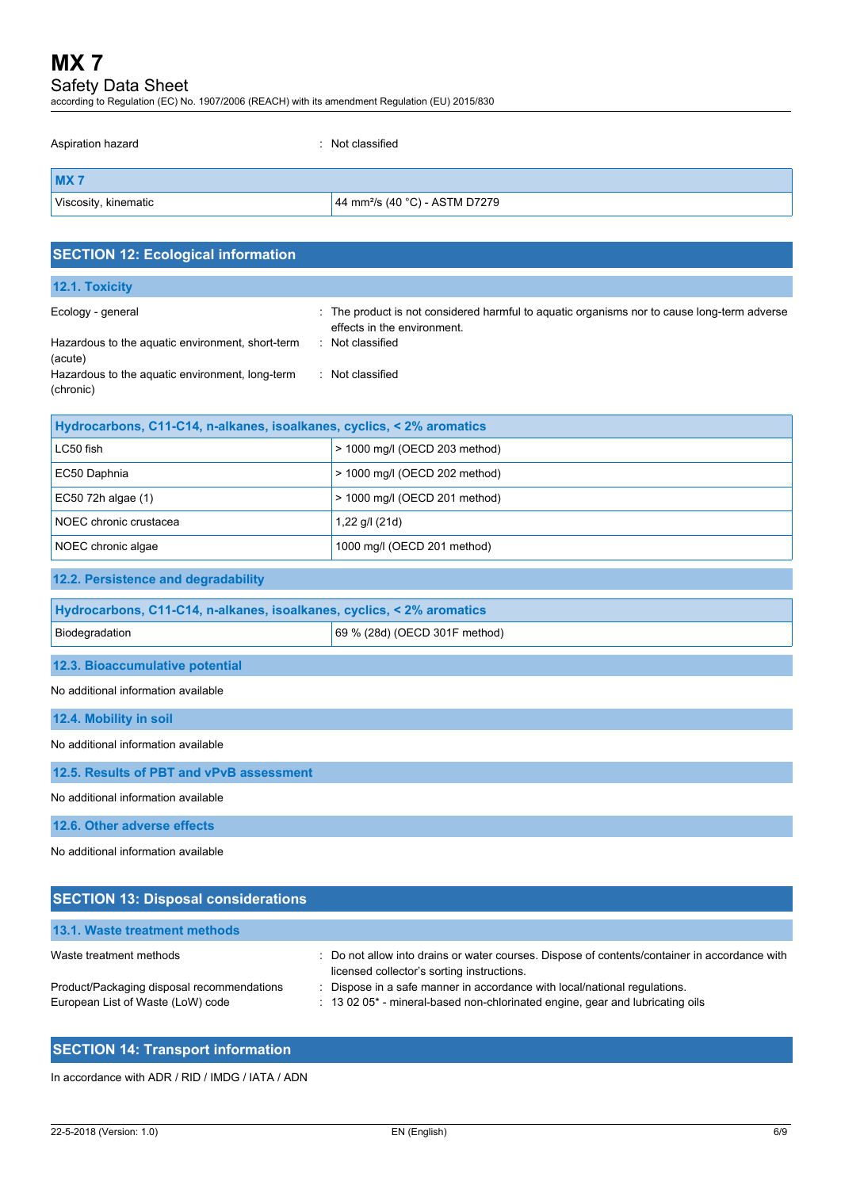## Safety Data Sheet

according to Regulation (EC) No. 1907/2006 (REACH) with its amendment Regulation (EU) 2015/830

| Aspiration hazard    | : Not classified                           |
|----------------------|--------------------------------------------|
| MX <sub>7</sub>      |                                            |
| Viscosity, kinematic | 44 mm <sup>2</sup> /s (40 °C) - ASTM D7279 |
|                      |                                            |

| <b>SECTION 12: Ecological information</b>                                                                                                        |                                                                                                                                                                  |
|--------------------------------------------------------------------------------------------------------------------------------------------------|------------------------------------------------------------------------------------------------------------------------------------------------------------------|
| 12.1. Toxicity                                                                                                                                   |                                                                                                                                                                  |
| Ecology - general<br>Hazardous to the aquatic environment, short-term<br>(acute)<br>Hazardous to the aquatic environment, long-term<br>(chronic) | : The product is not considered harmful to aquatic organisms nor to cause long-term adverse<br>effects in the environment.<br>Not classified<br>: Not classified |
| Hydrocarbons, C11-C14, n-alkanes, isoalkanes, cyclics, < 2% aromatics                                                                            |                                                                                                                                                                  |
| LC50 fish                                                                                                                                        | > 1000 mg/l (OECD 203 method)                                                                                                                                    |
| EC50 Daphnia                                                                                                                                     | > 1000 mg/l (OECD 202 method)                                                                                                                                    |
| EC50 72h algae (1)                                                                                                                               | > 1000 mg/l (OECD 201 method)                                                                                                                                    |
| NOEC chronic crustacea                                                                                                                           | 1,22 g/l (21d)                                                                                                                                                   |
| NOEC chronic algae                                                                                                                               | 1000 mg/l (OECD 201 method)                                                                                                                                      |
| 12.2. Persistence and degradability                                                                                                              |                                                                                                                                                                  |
| Hydrocarbons, C11-C14, n-alkanes, isoalkanes, cyclics, < 2% aromatics                                                                            |                                                                                                                                                                  |
| Biodegradation                                                                                                                                   | 69 % (28d) (OECD 301F method)                                                                                                                                    |
| 12.3. Bioaccumulative potential                                                                                                                  |                                                                                                                                                                  |
| No additional information available                                                                                                              |                                                                                                                                                                  |
| 12.4. Mobility in soil                                                                                                                           |                                                                                                                                                                  |
| No additional information available                                                                                                              |                                                                                                                                                                  |
| 12.5. Results of PBT and vPvB assessment                                                                                                         |                                                                                                                                                                  |
| No additional information available                                                                                                              |                                                                                                                                                                  |
| 12.6. Other adverse effects                                                                                                                      |                                                                                                                                                                  |
| No additional information available                                                                                                              |                                                                                                                                                                  |

| <b>SECTION 13: Disposal considerations</b>                                      |                                                                                                                                                            |
|---------------------------------------------------------------------------------|------------------------------------------------------------------------------------------------------------------------------------------------------------|
| 13.1. Waste treatment methods                                                   |                                                                                                                                                            |
| Waste treatment methods                                                         | : Do not allow into drains or water courses. Dispose of contents/container in accordance with<br>licensed collector's sorting instructions.                |
| Product/Packaging disposal recommendations<br>European List of Waste (LoW) code | : Dispose in a safe manner in accordance with local/national regulations.<br>: 13 02 05* - mineral-based non-chlorinated engine, gear and lubricating oils |

## **SECTION 14: Transport information**

In accordance with ADR / RID / IMDG / IATA / ADN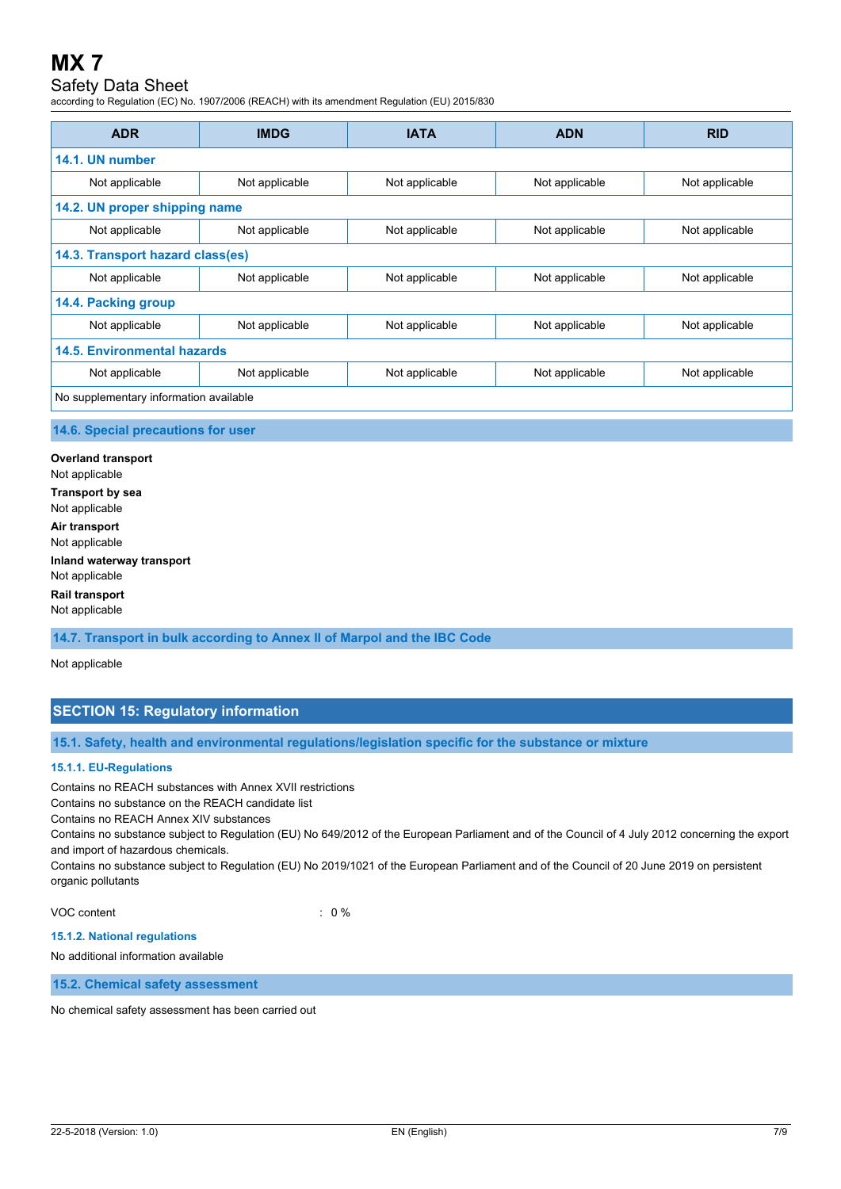## Safety Data Sheet

according to Regulation (EC) No. 1907/2006 (REACH) with its amendment Regulation (EU) 2015/830

| <b>ADR</b>                             | <b>IMDG</b>    | <b>IATA</b>    | <b>ADN</b>     | <b>RID</b>     |
|----------------------------------------|----------------|----------------|----------------|----------------|
| 14.1. UN number                        |                |                |                |                |
| Not applicable                         | Not applicable | Not applicable | Not applicable | Not applicable |
| 14.2. UN proper shipping name          |                |                |                |                |
| Not applicable                         | Not applicable | Not applicable | Not applicable | Not applicable |
| 14.3. Transport hazard class(es)       |                |                |                |                |
| Not applicable                         | Not applicable | Not applicable | Not applicable | Not applicable |
| 14.4. Packing group                    |                |                |                |                |
| Not applicable                         | Not applicable | Not applicable | Not applicable | Not applicable |
| 14.5. Environmental hazards            |                |                |                |                |
| Not applicable                         | Not applicable | Not applicable | Not applicable | Not applicable |
| No supplementary information available |                |                |                |                |

#### **14.6. Special precautions for user**

**Overland transport** Not applicable **Transport by sea** Not applicable **Air transport** Not applicable **Inland waterway transport** Not applicable **Rail transport** Not applicable

**14.7. Transport in bulk according to Annex II of Marpol and the IBC Code**

Not applicable

### **SECTION 15: Regulatory information**

**15.1. Safety, health and environmental regulations/legislation specific for the substance or mixture**

#### **15.1.1. EU-Regulations**

Contains no REACH substances with Annex XVII restrictions

Contains no substance on the REACH candidate list

Contains no REACH Annex XIV substances

Contains no substance subject to Regulation (EU) No 649/2012 of the European Parliament and of the Council of 4 July 2012 concerning the export and import of hazardous chemicals.

Contains no substance subject to Regulation (EU) No 2019/1021 of the European Parliament and of the Council of 20 June 2019 on persistent organic pollutants

VOC content : 0 %

#### **15.1.2. National regulations**

No additional information available

**15.2. Chemical safety assessment**

No chemical safety assessment has been carried out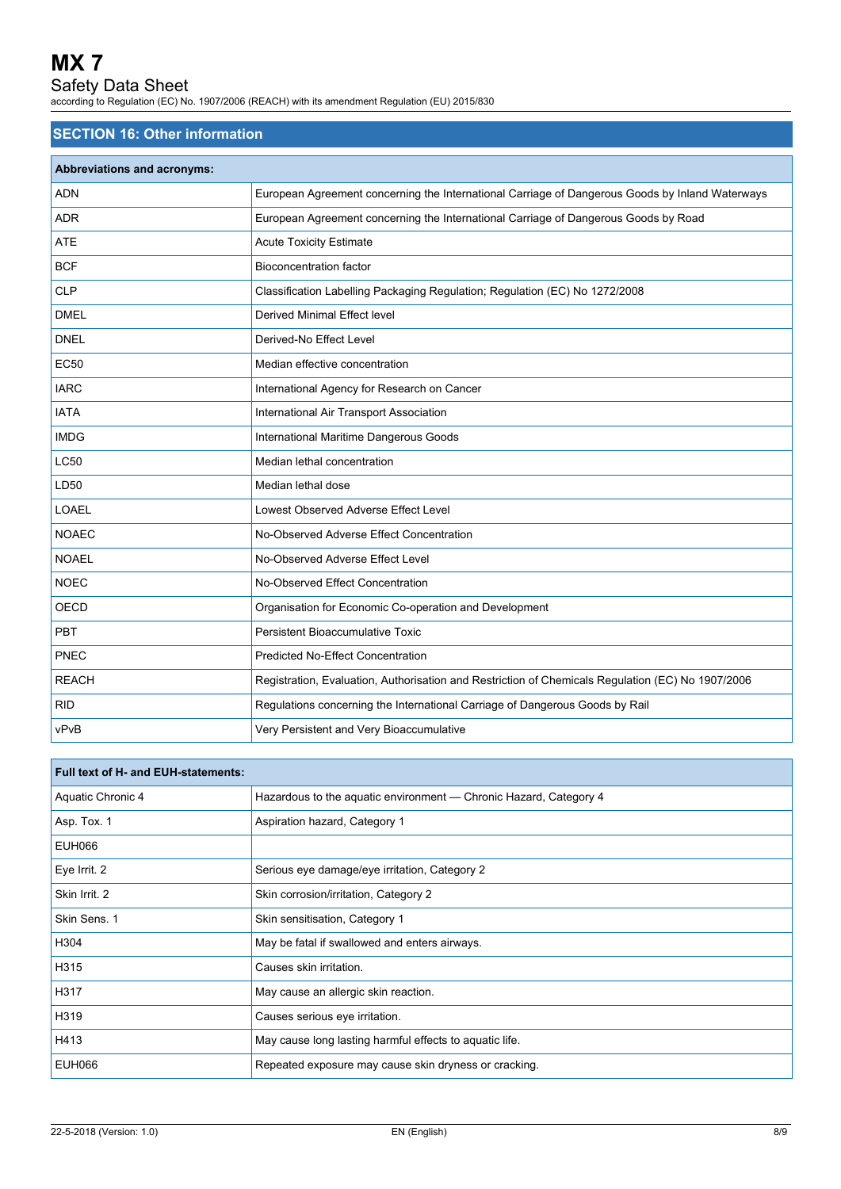## Safety Data Sheet

according to Regulation (EC) No. 1907/2006 (REACH) with its amendment Regulation (EU) 2015/830

## **SECTION 16: Other information**

| <b>Abbreviations and acronyms:</b> |                                                                                                   |
|------------------------------------|---------------------------------------------------------------------------------------------------|
| <b>ADN</b>                         | European Agreement concerning the International Carriage of Dangerous Goods by Inland Waterways   |
| <b>ADR</b>                         | European Agreement concerning the International Carriage of Dangerous Goods by Road               |
| <b>ATE</b>                         | <b>Acute Toxicity Estimate</b>                                                                    |
| <b>BCF</b>                         | <b>Bioconcentration factor</b>                                                                    |
| <b>CLP</b>                         | Classification Labelling Packaging Regulation; Regulation (EC) No 1272/2008                       |
| <b>DMEL</b>                        | Derived Minimal Effect level                                                                      |
| <b>DNEL</b>                        | Derived-No Effect Level                                                                           |
| <b>EC50</b>                        | Median effective concentration                                                                    |
| <b>IARC</b>                        | International Agency for Research on Cancer                                                       |
| <b>IATA</b>                        | International Air Transport Association                                                           |
| <b>IMDG</b>                        | International Maritime Dangerous Goods                                                            |
| <b>LC50</b>                        | Median lethal concentration                                                                       |
| LD50                               | Median lethal dose                                                                                |
| <b>LOAEL</b>                       | Lowest Observed Adverse Effect Level                                                              |
| <b>NOAEC</b>                       | No-Observed Adverse Effect Concentration                                                          |
| <b>NOAEL</b>                       | No-Observed Adverse Effect Level                                                                  |
| <b>NOEC</b>                        | No-Observed Effect Concentration                                                                  |
| <b>OECD</b>                        | Organisation for Economic Co-operation and Development                                            |
| <b>PBT</b>                         | Persistent Bioaccumulative Toxic                                                                  |
| PNEC                               | <b>Predicted No-Effect Concentration</b>                                                          |
| <b>REACH</b>                       | Registration, Evaluation, Authorisation and Restriction of Chemicals Regulation (EC) No 1907/2006 |
| <b>RID</b>                         | Regulations concerning the International Carriage of Dangerous Goods by Rail                      |
| vPvB                               | Very Persistent and Very Bioaccumulative                                                          |

| Full text of H- and EUH-statements: |                                                                   |
|-------------------------------------|-------------------------------------------------------------------|
| Aquatic Chronic 4                   | Hazardous to the aquatic environment - Chronic Hazard, Category 4 |
| Asp. Tox. 1                         | Aspiration hazard, Category 1                                     |
| EUH066                              |                                                                   |
| Eye Irrit. 2                        | Serious eye damage/eye irritation, Category 2                     |
| Skin Irrit. 2                       | Skin corrosion/irritation, Category 2                             |
| Skin Sens. 1                        | Skin sensitisation, Category 1                                    |
| H304                                | May be fatal if swallowed and enters airways.                     |
| H315                                | Causes skin irritation.                                           |
| H317                                | May cause an allergic skin reaction.                              |
| H319                                | Causes serious eye irritation.                                    |
| H413                                | May cause long lasting harmful effects to aquatic life.           |
| <b>EUH066</b>                       | Repeated exposure may cause skin dryness or cracking.             |